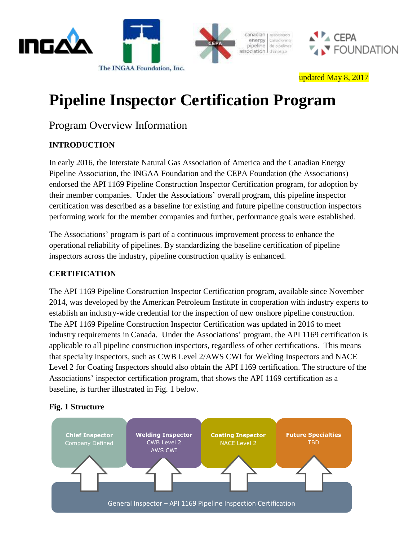



updated May 8, 2017

# **Pipeline Inspector Certification Program**

Program Overview Information

# **INTRODUCTION**

In early 2016, the Interstate Natural Gas Association of America and the Canadian Energy Pipeline Association, the INGAA Foundation and the CEPA Foundation (the Associations) endorsed the API 1169 Pipeline Construction Inspector Certification program, for adoption by their member companies. Under the Associations' overall program, this pipeline inspector certification was described as a baseline for existing and future pipeline construction inspectors performing work for the member companies and further, performance goals were established.

The Associations' program is part of a continuous improvement process to enhance the operational reliability of pipelines. By standardizing the baseline certification of pipeline inspectors across the industry, pipeline construction quality is enhanced.

## **CERTIFICATION**

The API 1169 Pipeline Construction Inspector Certification program, available since November 2014, was developed by the American Petroleum Institute in cooperation with industry experts to establish an industry-wide credential for the inspection of new onshore pipeline construction. The API 1169 Pipeline Construction Inspector Certification was updated in 2016 to meet industry requirements in Canada. Under the Associations' program, the API 1169 certification is applicable to all pipeline construction inspectors, regardless of other certifications. This means that specialty inspectors, such as CWB Level 2/AWS CWI for Welding Inspectors and NACE Level 2 for Coating Inspectors should also obtain the API 1169 certification. The structure of the Associations' inspector certification program, that shows the API 1169 certification as a baseline, is further illustrated in Fig. 1 below.

### **Fig. 1 Structure**

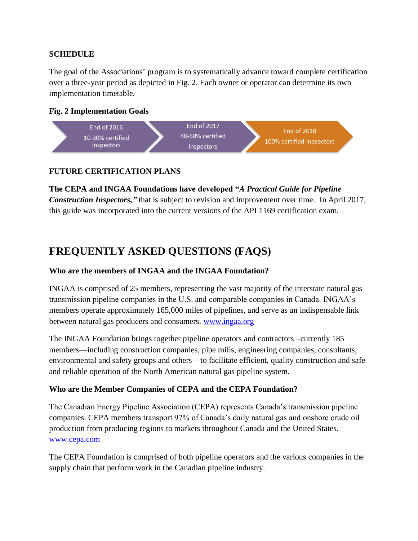### **SCHEDULE**

The goal of the Associations' program is to systematically advance toward complete certification over a three-year period as depicted in Fig. 2. Each owner or operator can determine its own implementation timetable.

### **Fig. 2 Implementation Goals**



### **FUTURE CERTIFICATION PLANS**

### **The CEPA and INGAA Foundations have developed "***A Practical Guide for Pipeline*

*Construction Inspectors,"* that is subject to revision and improvement over time. In April 2017, this guide was incorporated into the current versions of the API 1169 certification exam.

# **FREQUENTLY ASKED QUESTIONS (FAQS)**

### **Who are the members of INGAA and the INGAA Foundation?**

INGAA is comprised of 25 members, representing the vast majority of the interstate natural gas transmission pipeline companies in the U.S. and comparable companies in Canada. INGAA's members operate approximately 165,000 miles of pipelines, and serve as an indispensable link between natural gas producers and consumers. [www.ingaa.org](file://///INGAA-DC1/INGAA/Foundation/Studies%20Folders/Studies%20Approved/Studies%20In%20Progress/Inspector%20Certification%20Initiaitve/www.ingaa.org)

The INGAA Foundation brings together pipeline operators and contractors –currently 185 members—including construction companies, pipe mills, engineering companies, consultants, environmental and safety groups and others—to facilitate efficient, quality construction and safe and reliable operation of the North American natural gas pipeline system.

### **Who are the Member Companies of CEPA and the CEPA Foundation?**

The Canadian Energy Pipeline Association (CEPA) represents Canada's transmission pipeline companies. CEPA members transport 97% of Canada's daily natural gas and onshore crude oil production from producing regions to markets throughout Canada and the United States. [www.cepa.com](http://www.cepa.com/)

The CEPA Foundation is comprised of both pipeline operators and the various companies in the supply chain that perform work in the Canadian pipeline industry.